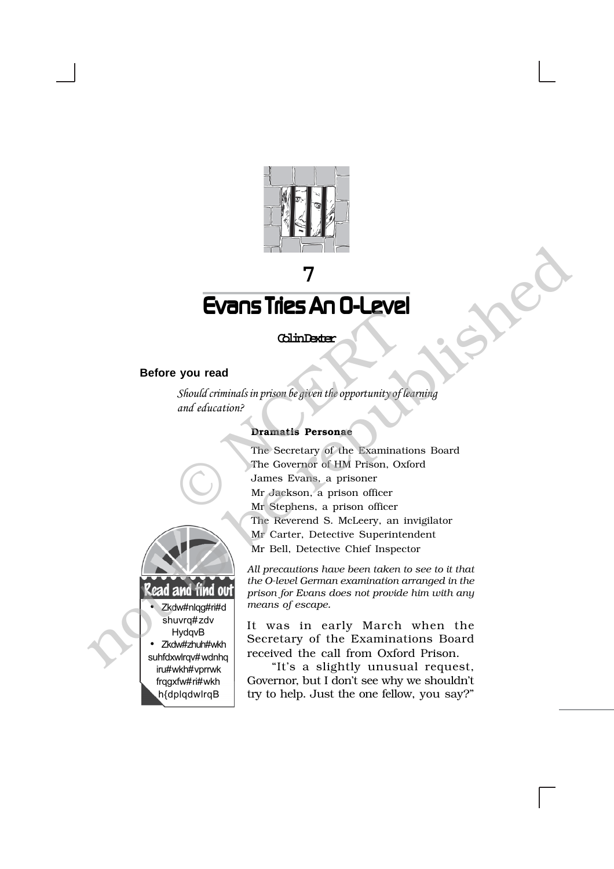

# Evans Tries An O-Level

**7**

### **ColinDexter**

### **Before you read**

*Should criminals in prison be given the opportunity of learning and education?* ColinDexter<br>
ColinDexter<br>
Should criminals in prison be given the opportunity of l<br>
and education?<br>
Dramatis Personae<br>
The Secretary of the Examinat<br>
The Governor of HM Prison, Ox<br>
James Evans, a prisoner<br>
Mr Jackson, a pr

#### **Dramatis Personae**

The Secretary of the Examinations Board The Governor of HM Prison, Oxford

James Evans, a prisoner

Mr Jackson, a prison officer

Mr Stephens, a prison officer

The Reverend S. McLeery, an invigilator

Mr Carter, Detective Superintendent

Mr Bell, Detective Chief Inspector

*All precautions have been taken to see to it that the O-level German examination arranged in the prison for Evans does not provide him with any means of escape.* 7<br>
Evans Tries An O-Level<br>
Chinnels are controlled the component of the state of the state of the state of the state of the state of the state of the state of the state of the state of the state of the state of the state

It was in early March when the Secretary of the Examinations Board received the call from Oxford Prison.

"It's a slightly unusual request, Governor, but I don't see why we shouldn't try to help. Just the one fellow, you say?"

 $\bullet$  Zkdw#nlqg#ri#d shuvrq#zdv HydqvB Zkdw#zhuh#wkh suhfdxwlrqv#wdnhq iru#wkh#vprrwk frqgxfw#ri#wkh h{dplqdwlrqB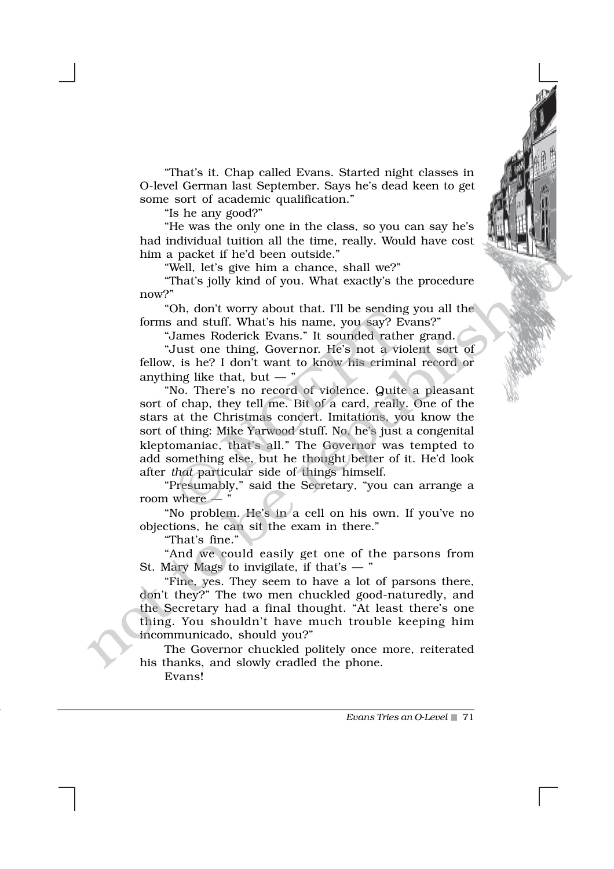"That's it. Chap called Evans. Started night classes in O-level German last September. Says he's dead keen to get some sort of academic qualification."

"Is he any good?"

"He was the only one in the class, so you can say he's had individual tuition all the time, really. Would have cost him a packet if he'd been outside."

"Well, let's give him a chance, shall we?"

"That's jolly kind of you. What exactly's the procedure now?"

"Oh, don't worry about that. I'll be sending you all the forms and stuff. What's his name, you say? Evans?"

"James Roderick Evans." It sounded rather grand.

"Just one thing, Governor. He's not a violent sort of fellow, is he? I don't want to know his criminal record or anything like that, but  $-$  "

"No. There's no record of violence. Quite a pleasant sort of chap, they tell me. Bit of a card, really. One of the stars at the Christmas concert. Imitations, you know the sort of thing: Mike Yarwood stuff. No, he's just a congenital kleptomaniac, that's all." The Governor was tempted to add something else, but he thought better of it. He'd look after *that* particular side of things himself. Jn, don't worry about that. I'll be sending<br>and stuff. What's his name, you say? E-<br>James Roderick Evans." It sounded rathe<br>Just one thing, Governor. He's not a video.<br>is he? I don't want to know his crimin<br>ing like that, not the place of the between the shares, shall we?<br>
"Will, let's give him a chance, shall we?"<br>
"That's jolly kind of you. What exactly's the procedure<br>
"That's jolly kind of you. Mat exactly's the procedure<br>
"That's joll

"Presumably," said the Secretary, "you can arrange a room where — "

"No problem. He's in a cell on his own. If you've no objections, he can sit the exam in there."

"That's fine."

"And we could easily get one of the parsons from St. Mary Mags to invigilate, if that's  $-$  "

"Fine, yes. They seem to have a lot of parsons there, don't they?" The two men chuckled good-naturedly, and the Secretary had a final thought. "At least there's one thing. You shouldn't have much trouble keeping him incommunicado, should you?"

The Governor chuckled politely once more, reiterated his thanks, and slowly cradled the phone.

Evans!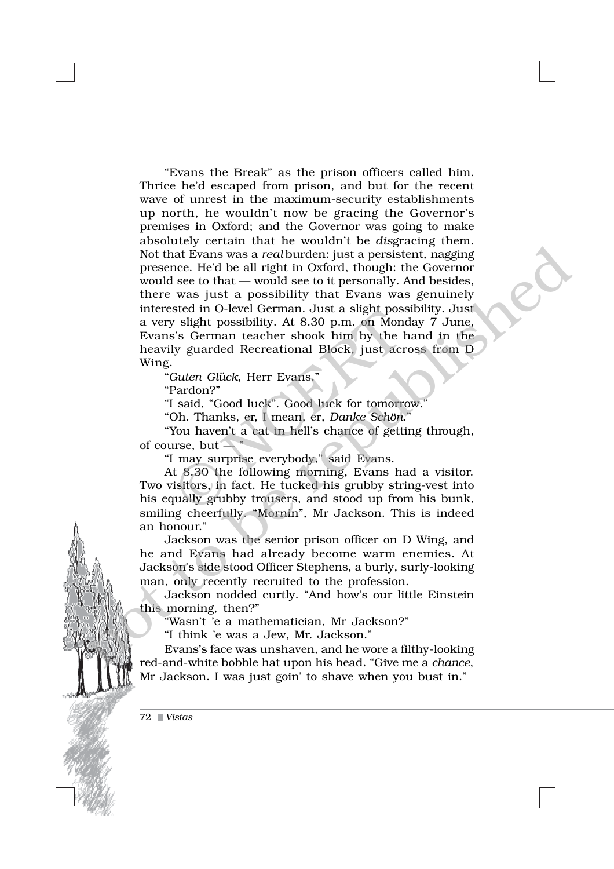"Evans the Break" as the prison officers called him. Thrice he'd escaped from prison, and but for the recent wave of unrest in the maximum-security establishments up north, he wouldn't now be gracing the Governor's premises in Oxford; and the Governor was going to make absolutely certain that he wouldn't be *dis*gracing them. Not that Evans was a *real* burden: just a persistent, nagging presence. He'd be all right in Oxford, though: the Governor would see to that — would see to it personally. And besides, there was just a possibility that Evans was genuinely interested in O-level German. Just a slight possibility. Just a very slight possibility. At 8.30 p.m. on Monday 7 June, Evans's German teacher shook him by the hand in the heavily guarded Recreational Block, just across from D Wing. sted in O-level German. Just a signt poss<br> *I* slight possibility. At 8.30 p.m. on Mons's German teacher shook him by the l<br>
ly guarded Recreational Block, just acr<br> *Guten Glück*, Herr Evans."<br>
Pardon?"<br>
I said, "Good luc Not that Evans was a real<br>burden; just a persistent, nagging presence. Hed be all right in Oxford, though: the Governor<br>would see to the latt — would see to the presonally. And besides,<br>there was just a possibility that E

"*Guten Gluck*, Herr Evans." ..

"Pardon?"

"I said, "Good luck". Good luck for tomorrow."

"Oh. Thanks, er, I mean, er, *Danke Schon*." ..

"You haven't a cat in hell's chance of getting through, of course, but  $\rightarrow$ 

"I may surprise everybody," said Evans.

At 8.30 the following morning, Evans had a visitor. Two visitors, in fact. He tucked his grubby string-vest into his equally grubby trousers, and stood up from his bunk, smiling cheerfully. "Mornin", Mr Jackson. This is indeed an honour."

Jackson was the senior prison officer on D Wing, and he and Evans had already become warm enemies. At Jackson's side stood Officer Stephens, a burly, surly-looking man, only recently recruited to the profession.

Jackson nodded curtly. "And how's our little Einstein this morning, then?"

"Wasn't 'e a mathematician, Mr Jackson?"

"I think 'e was a Jew, Mr. Jackson."

Evans's face was unshaven, and he wore a filthy-looking red-and-white bobble hat upon his head. "Give me a *chance*, Mr Jackson. I was just goin' to shave when you bust in."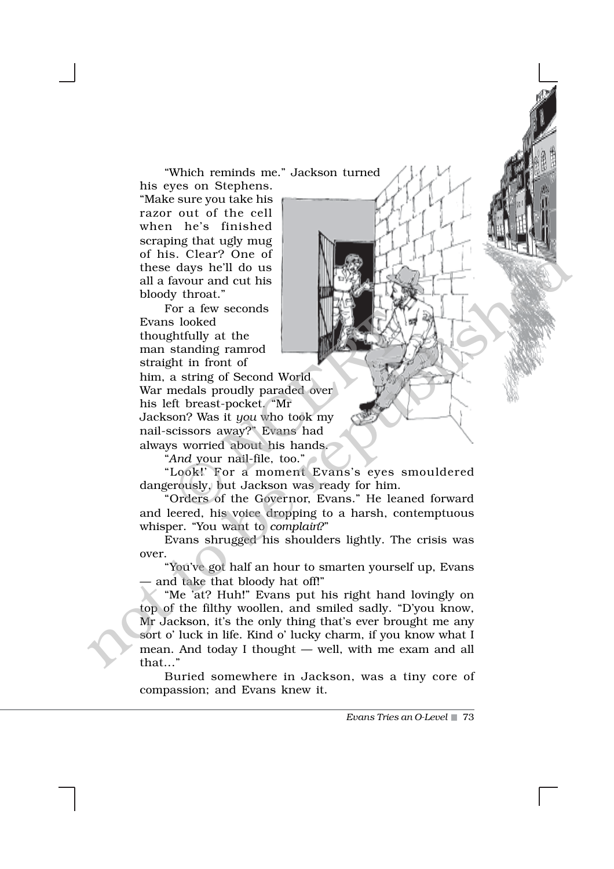"Which reminds me." Jackson turned

his eyes on Stephens. "Make sure you take his razor out of the cell when he's finished scraping that ugly mug of his. Clear? One of these days he'll do us all a favour and cut his bloody throat."

For a few seconds Evans looked thoughtfully at the man standing ramrod straight in front of him, a string of Second World War medals proudly paraded over his left breast-pocket. "Mr Jackson? Was it *you* who took my nail-scissors away?" Evans had always worried about his hands. or a lew seconds<br>
a looked<br>
htfully at the<br>
standing ramrod<br>
ht in front of<br>
a string of Second World<br>
medals proudly paraded over<br>
ft breast-pocket. "Mr<br>
on? Was it you who took my<br>
cissors away?" Evans had<br>
s worried abo of this. Clear? One of<br>these days hell do us<br>all a favour and cut his<br>bloody throat."<br>For a few seconds<br>Evans looked<br>throat of the second of the main standing ramod<br>straight in front of the main standing ramod<br>straight in

"*And* your nail-file, too."

"Look!' For a moment Evans's eyes smouldered dangerously, but Jackson was ready for him.

"Orders of the Governor, Evans." He leaned forward and leered, his voice dropping to a harsh, contemptuous whisper. "You want to *complain*?"

Evans shrugged his shoulders lightly. The crisis was over.

"You've got half an hour to smarten yourself up, Evans — and take that bloody hat off!"

"Me 'at? Huh!" Evans put his right hand lovingly on top of the filthy woollen, and smiled sadly. "D'you know, Mr Jackson, it's the only thing that's ever brought me any sort o' luck in life. Kind o' lucky charm, if you know what I mean. And today I thought — well, with me exam and all that..."

Buried somewhere in Jackson, was a tiny core of compassion; and Evans knew it.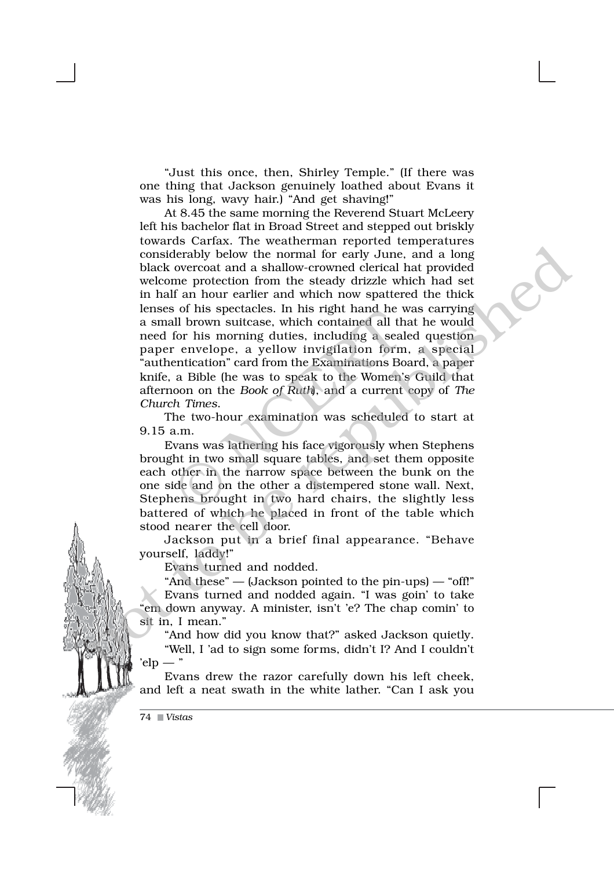"Just this once, then, Shirley Temple." (If there was one thing that Jackson genuinely loathed about Evans it was his long, wavy hair.) "And get shaving!"

At 8.45 the same morning the Reverend Stuart McLeery left his bachelor flat in Broad Street and stepped out briskly towards Carfax. The weatherman reported temperatures considerably below the normal for early June, and a long black overcoat and a shallow-crowned clerical hat provided welcome protection from the steady drizzle which had set in half an hour earlier and which now spattered the thick lenses of his spectacles. In his right hand he was carrying a small brown suitcase, which contained all that he would need for his morning duties, including a sealed question paper envelope, a yellow invigilation form, a special "authentication" card from the Examinations Board, a paper knife, a Bible (he was to speak to the Women's Guild that afternoon on the *Book of Ruth*), and a current copy of *The Church Times*. So ins spectacles. In his right hand he vall brown suitcase, which contained all th<br>for his morning duties, including a seal<br>r envelope, a yellow invigilation form<br>entication" card from the Examinations Bo<br>a Bible (he was considerably below the normal for early June, and a long<br>black overcoat and a shallow crowned elerical hat provided<br>welcome protection from the steady drizzle which had set<br>the half an hour earlier and which now spatieved

The two-hour examination was scheduled to start at 9.15 a.m.

Evans was lathering his face vigorously when Stephens brought in two small square tables, and set them opposite each other in the narrow space between the bunk on the one side and on the other a distempered stone wall. Next, Stephens brought in two hard chairs, the slightly less battered of which he placed in front of the table which stood nearer the cell door.

Jackson put in a brief final appearance. "Behave yourself, laddy!"

Evans turned and nodded.

"And these" — (Jackson pointed to the pin-ups) — "off!" Evans turned and nodded again. "I was goin' to take "em down anyway. A minister, isn't 'e? The chap comin' to sit in, I mean."

"And how did you know that?" asked Jackson quietly. "Well, I 'ad to sign some forms, didn't I? And I couldn't  $\mathrm{cln} - "$ 

Evans drew the razor carefully down his left cheek, and left a neat swath in the white lather. "Can I ask you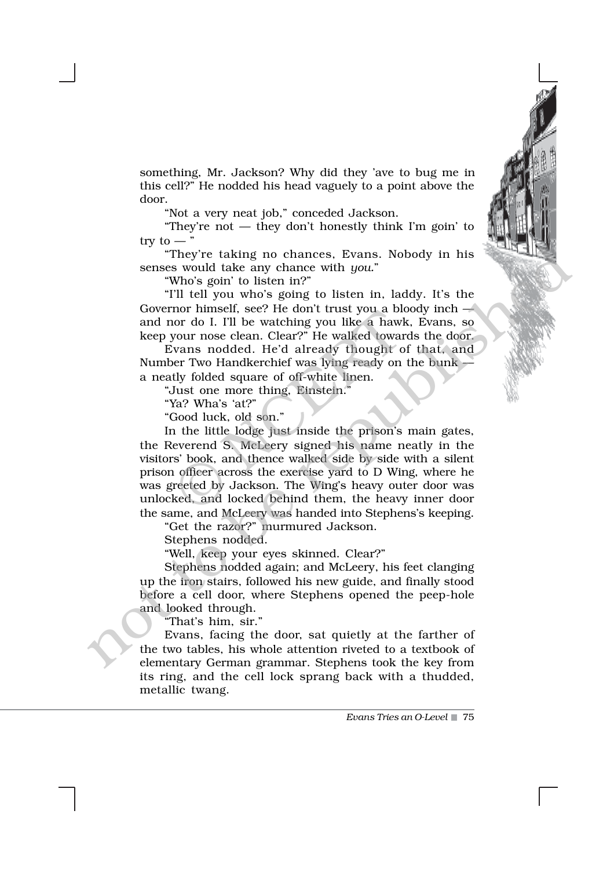something, Mr. Jackson? Why did they 'ave to bug me in this cell?" He nodded his head vaguely to a point above the door.

"Not a very neat job," conceded Jackson.

"They're not — they don't honestly think I'm goin' to try to  $-$ "

"They're taking no chances, Evans. Nobody in his senses would take any chance with *you.*"

"Who's goin' to listen in?"

"I'll tell you who's going to listen in, laddy. It's the Governor himself, see? He don't trust you a bloody inch and nor do I. I'll be watching you like a hawk, Evans, so keep your nose clean. Clear?" He walked towards the door.

Evans nodded. He'd already thought of that, and Number Two Handkerchief was lying ready on the bunk a neatly folded square of off-white linen.

"Just one more thing, Einstein."

"Ya? Wha's 'at?"

"Good luck, old son."

In the little lodge just inside the prison's main gates, the Reverend S. McLeery signed his name neatly in the visitors' book, and thence walked side by side with a silent prison officer across the exercise yard to D Wing, where he was greeted by Jackson. The Wing's heavy outer door was unlocked, and locked behind them, the heavy inner door the same, and McLeery was handed into Stephens's keeping. nor minsel, see? He don't trust you a bilom<br>tor do I. I'll be watching you like a hawlyour nose clean. Clear?" He walked towar<br>vans nodded. He'd already thought of<br>the Two Handkerchief was lying ready on<br>tly folded square They're taking no chances, Evans. Nobody in his<br>
senses would take any chance with *jou.*<br>
"The right on listen in?"<br>
The lyou who's goin to listen in?"<br>
The lyou who's goin to listen in?"<br>
The lyou who's goin to listen i

"Get the razor?" murmured Jackson.

Stephens nodded.

"Well, keep your eyes skinned. Clear?"

Stephens nodded again; and McLeery, his feet clanging up the iron stairs, followed his new guide, and finally stood before a cell door, where Stephens opened the peep-hole and looked through.

"That's him, sir."

Evans, facing the door, sat quietly at the farther of the two tables, his whole attention riveted to a textbook of elementary German grammar. Stephens took the key from its ring, and the cell lock sprang back with a thudded, metallic twang.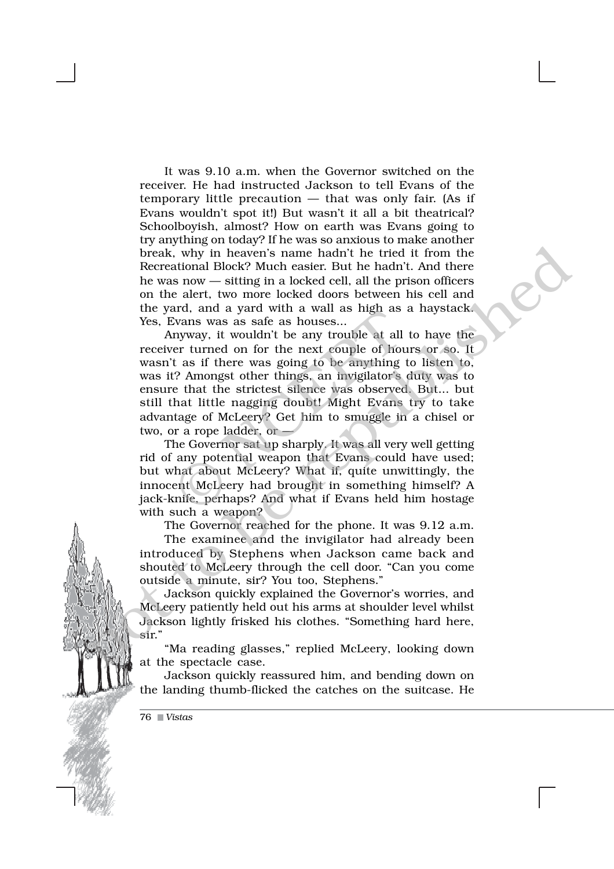It was 9.10 a.m. when the Governor switched on the receiver. He had instructed Jackson to tell Evans of the temporary little precaution — that was only fair. (As if Evans wouldn't spot it!) But wasn't it all a bit theatrical? Schoolboyish, almost? How on earth was Evans going to try anything on today? If he was so anxious to make another break, why in heaven's name hadn't he tried it from the Recreational Block? Much easier. But he hadn't. And there he was now — sitting in a locked cell, all the prison officers on the alert, two more locked doors between his cell and the yard, and a yard with a wall as high as a haystack. Yes, Evans was as safe as houses...

Anyway, it wouldn't be any trouble at all to have the receiver turned on for the next couple of hours or so. It wasn't as if there was going to be anything to listen to, was it? Amongst other things, an invigilator's duty was to ensure that the strictest silence was observed. But... but still that little nagging doubt! Might Evans try to take advantage of McLeery? Get him to smuggle in a chisel or two, or a rope ladder, or and, and a yard with a wan as high as<br>
Evans was as safe as houses...<br>
myway, it wouldn't be any trouble at all<br>
er turned on for the next couple of hot<br>
t as if there was going to be anything<br>
1? Amongst other things, an break, why in heaven's name hadn't he tried it from the Recretional Block? Much easier. But he hadn't. And there he was now — siting in a locked cell, all the prison officers on the alert, two more locked dons between his

The Governor sat up sharply. It was all very well getting rid of any potential weapon that Evans could have used; but what about McLeery? What if, quite unwittingly, the innocent McLeery had brought in something himself? A jack-knife, perhaps? And what if Evans held him hostage with such a weapon?

The Governor reached for the phone. It was 9.12 a.m.

The examinee and the invigilator had already been introduced by Stephens when Jackson came back and shouted to McLeery through the cell door. "Can you come outside a minute, sir? You too, Stephens."

Jackson quickly explained the Governor's worries, and McLeery patiently held out his arms at shoulder level whilst Jackson lightly frisked his clothes. "Something hard here, sir."

"Ma reading glasses," replied McLeery, looking down at the spectacle case.

Jackson quickly reassured him, and bending down on the landing thumb-flicked the catches on the suitcase. He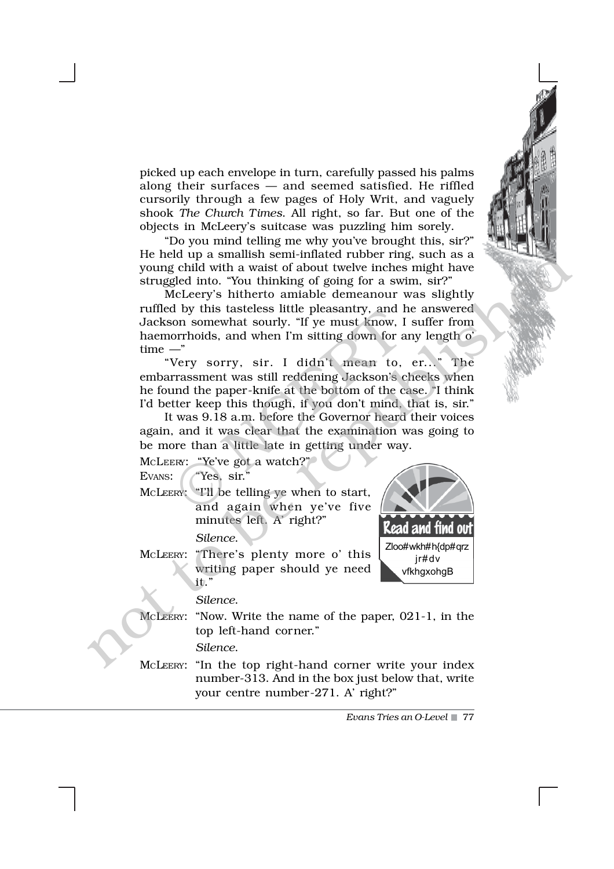picked up each envelope in turn, carefully passed his palms along their surfaces — and seemed satisfied. He riffled cursorily through a few pages of Holy Writ, and vaguely shook *The Church Times*. All right, so far. But one of the objects in McLeery's suitcase was puzzling him sorely.

"Do you mind telling me why you've brought this, sir?" He held up a smallish semi-inflated rubber ring, such as a young child with a waist of about twelve inches might have struggled into. "You thinking of going for a swim, sir?"

McLeery's hitherto amiable demeanour was slightly ruffled by this tasteless little pleasantry, and he answered Jackson somewhat sourly. "If ye must know, I suffer from haemorrhoids, and when I'm sitting down for any length o' time  $-\ddot{}$ He held up a smallish semi-inflated rubber ring, such as a young child with a wasts of about twelve inches might have simply that is such a simply the simple dimension of the simple to missele in the measure of a such tha

"Very sorry, sir. I didn't mean to, er..." The embarrassment was still reddening Jackson's cheeks when he found the paper-knife at the bottom of the case. "I think I'd better keep this though, if you don't mind, that is, sir." The method is a state of the peasantry, and for the peasantry, and for a compewhat sourly. "If ye must know, I<br>orrhoids, and when I'm sitting down for a<br>—"<br>Very sorry, sir. I didn't mean to,<br>rrassment was still reddening J

It was 9.18 a.m. before the Governor heard their voices again, and it was clear that the examination was going to be more than a little late in getting under way.

MCLEERY: "Ye've got a watch?"

EVANS: Yes, sir."

MCLEERY: "I'll be telling ye when to start, and again when ye've five minutes left. A' right?" *Silence*.



MCLEERY: "There's plenty more o' this writing paper should ye need it."

*Silence*.

MCLEERY: "Now. Write the name of the paper, 021-1, in the top left-hand corner."

*Silence*.

MCLEERY: "In the top right-hand corner write your index number-313. And in the box just below that, write your centre number-271. A' right?"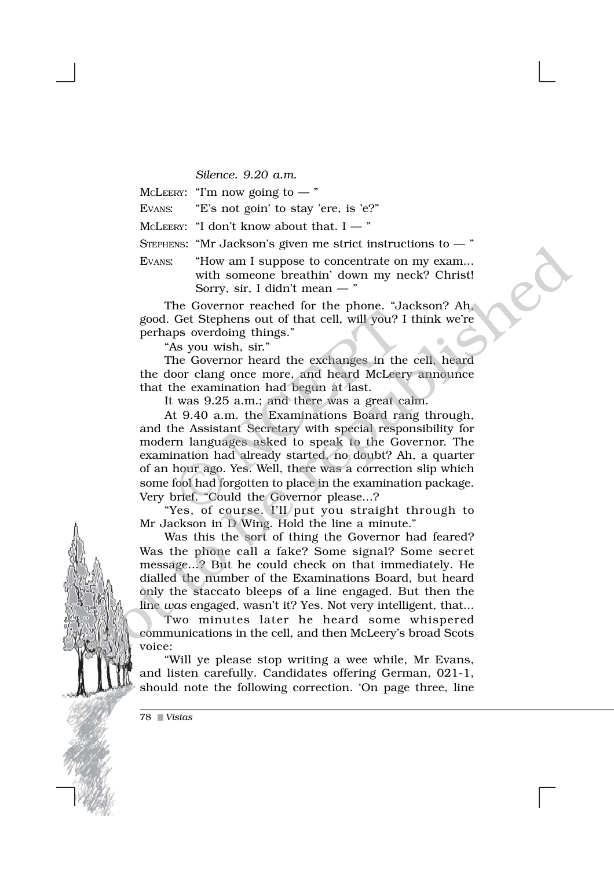*Silence. 9.20 a.m.*

McLEERY: "I'm now going to  $-$  "

EVANS: "E's not goin' to stay 'ere, is 'e?"

McLEERY: "I don't know about that.  $I -$ "

STEPHENS: "Mr Jackson's given me strict instructions to — "

EVANS: "How am I suppose to concentrate on my exam... with someone breathin' down my neck? Christ! Sorry, sir, I didn't mean — "

The Governor reached for the phone. "Jackson? Ah, good. Get Stephens out of that cell, will you? I think we're perhaps overdoing things."

"As you wish, sir."

The Governor heard the exchanges in the cell, heard the door clang once more, and heard McLeery announce that the examination had begun at last.

It was 9.25 a.m.; and there was a great calm.

At 9.40 a.m. the Examinations Board rang through, and the Assistant Secretary with special responsibility for modern languages asked to speak to the Governor. The examination had already started, no doubt? Ah, a quarter of an hour ago. Yes. Well, there was a correction slip which some fool had forgotten to place in the examination package. Very brief. "Could the Governor please...? The discrete solution of that cell, will you? I<br>ps overdoing things."<br>As you wish, sir."<br>As you wish, sir."<br>he Governor heard the exchanges in the<br>oor clang once more, and heard McLeer<br>he examination had begun at last.<br>L w Shows Four and a single me since in the state in space to concentrate on my examinations of the Governor reached for the phone. "Jackson? Ah good. Get Stephens out of that rell, will you? I think were perhaps overdomly th

"Yes, of course. I'll put you straight through to Mr Jackson in D Wing. Hold the line a minute."

Was this the sort of thing the Governor had feared? Was the phone call a fake? Some signal? Some secret message...? But he could check on that immediately. He dialled the number of the Examinations Board, but heard only the staccato bleeps of a line engaged. But then the line *was* engaged, wasn't it? Yes. Not very intelligent, that...

Two minutes later he heard some whispered communications in the cell, and then McLeery's broad Scots voice:

"Will ye please stop writing a wee while, Mr Evans, and listen carefully. Candidates offering German, 021-1, should note the following correction. 'On page three, line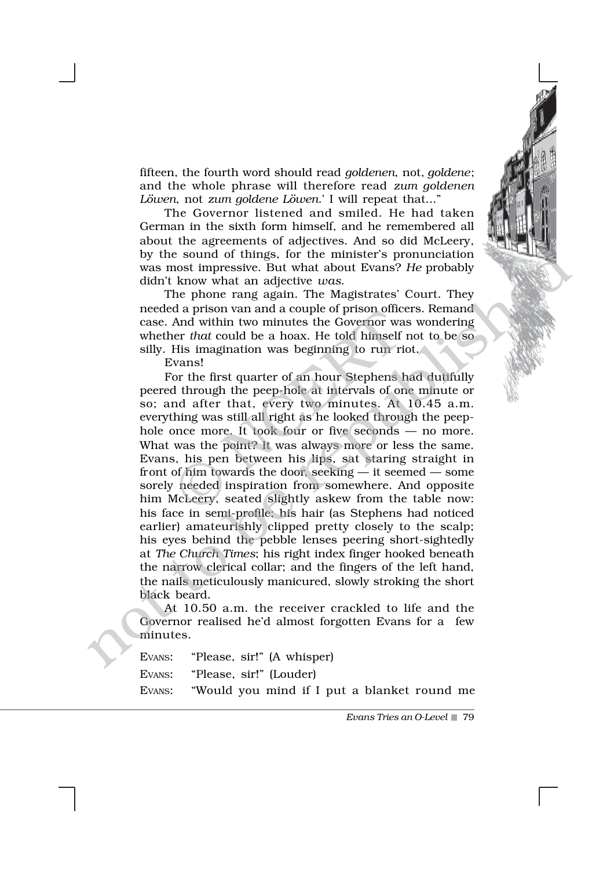fifteen, the fourth word should read *goldenen*, not, *goldene*; and the whole phrase will therefore read *zum goldenen Lowen*, not *zum goldene Lowen*.' I will repeat that..." .. ..

The Governor listened and smiled. He had taken German in the sixth form himself, and he remembered all about the agreements of adjectives. And so did McLeery, by the sound of things, for the minister's pronunciation was most impressive. But what about Evans? *He* probably didn't know what an adjective *was*.

The phone rang again. The Magistrates' Court. They needed a prison van and a couple of prison officers. Remand case. And within two minutes the Governor was wondering whether *that* could be a hoax. He told himself not to be so silly. His imagination was beginning to run riot.

Evans!

For the first quarter of an hour Stephens had dutifully peered through the peep-hole at intervals of one minute or so; and after that, every two minutes. At 10.45 a.m. everything was still all right as he looked through the peephole once more. It took four or five seconds — no more. What was the point? It was always more or less the same. Evans, his pen between his lips, sat staring straight in front of him towards the door, seeking — it seemed — some sorely needed inspiration from somewhere. And opposite him McLeery, seated slightly askew from the table now: his face in semi-profile; his hair (as Stephens had noticed earlier) amateurishly clipped pretty closely to the scalp; his eyes behind the pebble lenses peering short-sightedly at *The Church Times*; his right index finger hooked beneath the narrow clerical collar; and the fingers of the left hand, the nails meticulously manicured, slowly stroking the short black beard. d a prison van and a couple of prison officer<br>And within two minutes the Governor wa<br>ter that could be a hoax. He told himself<br>His imagination was beginning to run ri<br>vans!<br>for the first quarter of an hour Stephens h<br>d thr in the sound of things, for the minister's pronunciation<br>was most impossive. But what about Evans? He probably<br>what most impossive. But what about Evans? He probably<br>didn't know what am adjective *uss*.<br>They also the solu

At 10.50 a.m. the receiver crackled to life and the Governor realised he'd almost forgotten Evans for a few minutes.

EVANS: "Please, sir!" (A whisper)

EVANS: "Please, sir!" (Louder)

EVANS: "Would you mind if I put a blanket round me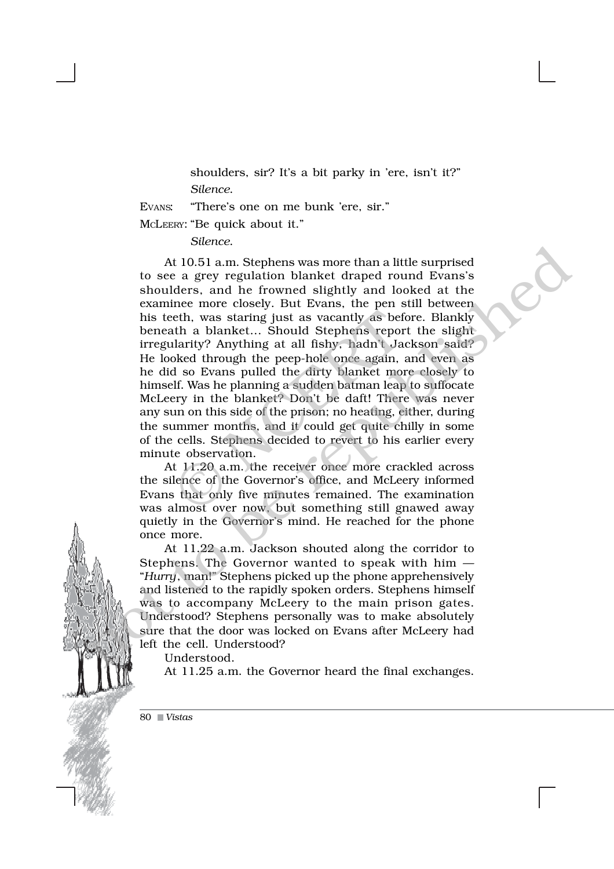shoulders, sir? It's a bit parky in 'ere, isn't it?" *Silence*.

EVANS: "There's one on me bunk 'ere, sir."

MCLEERY: "Be quick about it."

*Silence*.

At 10.51 a.m. Stephens was more than a little surprised to see a grey regulation blanket draped round Evans's shoulders, and he frowned slightly and looked at the examinee more closely. But Evans, the pen still between his teeth, was staring just as vacantly as before. Blankly beneath a blanket... Should Stephens report the slight irregularity? Anything at all fishy, hadn't Jackson said? He looked through the peep-hole once again, and even as he did so Evans pulled the dirty blanket more closely to himself. Was he planning a sudden batman leap to suffocate McLeery in the blanket? Don't be daft! There was never any sun on this side of the prison; no heating, either, during the summer months, and it could get quite chilly in some of the cells. Stephens decided to revert to his earlier every minute observation. eth, was staring just as vacantly as bef<br>th a blanket... Should Stephens repor<br>ularity? Anything at all fishy, hadn't Jao<br>bked through the peep-hole once again, a<br>d so Evans pulled the dirty blanket moi<br>elf. Was he plannin At 10.51 a.m. Stephens was more than a little surprised<br>to see a grey regulation blanket draped round Evans's<br>shoulders, and he frowmed slightly and looked at the<br>examine enore closely. But Evans, the pen still between<br>th

At 11.20 a.m. the receiver once more crackled across the silence of the Governor's office, and McLeery informed Evans that only five minutes remained. The examination was almost over now, but something still gnawed away quietly in the Governor's mind. He reached for the phone once more.

At 11.22 a.m. Jackson shouted along the corridor to Stephens. The Governor wanted to speak with him — "*Hurry*, man!" Stephens picked up the phone apprehensively and listened to the rapidly spoken orders. Stephens himself was to accompany McLeery to the main prison gates. Understood? Stephens personally was to make absolutely sure that the door was locked on Evans after McLeery had left the cell. Understood?

Understood.

At 11.25 a.m. the Governor heard the final exchanges.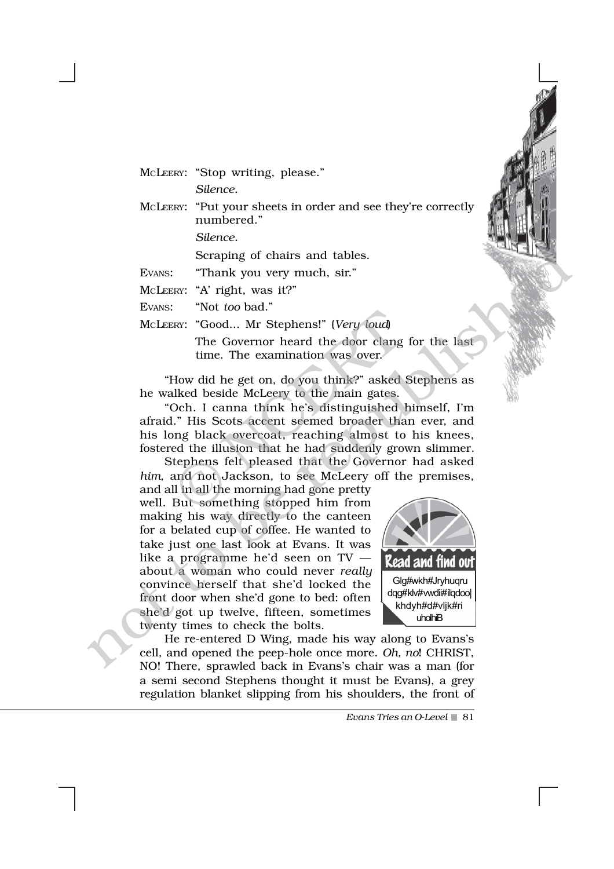MCLEERY: "Stop writing, please." *Silence.*

MCLEERY: "Put your sheets in order and see they're correctly numbered."

*Silence.*

Scraping of chairs and tables.

EVANS: "Thank you very much, sir."

MCLEERY: "A' right, was it?"

EVANS: "Not *too* bad."

MCLEERY: "Good... Mr Stephens!" (*Very loud*)

The Governor heard the door clang for the last time. The examination was over.

"How did he get on, do you think?" asked Stephens as he walked beside McLeery to the main gates.

"Och. I canna think he's distinguished himself, I'm afraid." His Scots accent seemed broader than ever, and his long black overcoat, reaching almost to his knees, fostered the illusion that he had suddenly grown slimmer. ERY: "Good... Mr Stephens!" (Very loud)<br>The Governor heard the door clang<br>time. The examination was over.<br>How did he get on, do you think?" asked<br>ulked beside McLeery to the main gates.<br>Och. I canna think he's distinguishe

Stephens felt pleased that the Governor had asked *him*, and not Jackson, to see McLeery off the premises,

and all in all the morning had gone pretty well. But something stopped him from making his way directly to the canteen for a belated cup of coffee. He wanted to take just one last look at Evans. It was like a programme he'd seen on TV about a woman who could never *really* convince herself that she'd locked the front door when she'd gone to bed: often she'd got up twelve, fifteen, sometimes twenty times to check the bolts. Scraping of charts and tables.<br>
Thank you very much, sir."<br>
McLezaw: "Cord, twas it?"<br>
McLezaw: "Cord... Mr Stephens!" (Very loud)<br>
The Covernor head of the age of the last<br>
time. The case in the data of cord and the data



He re-entered D Wing, made his way along to Evans's cell, and opened the peep-hole once more. *Oh, no*! CHRIST, NO! There, sprawled back in Evans's chair was a man (for a semi second Stephens thought it must be Evans), a grey regulation blanket slipping from his shoulders, the front of

*Evans Tries an O-Level*  $\Box$  81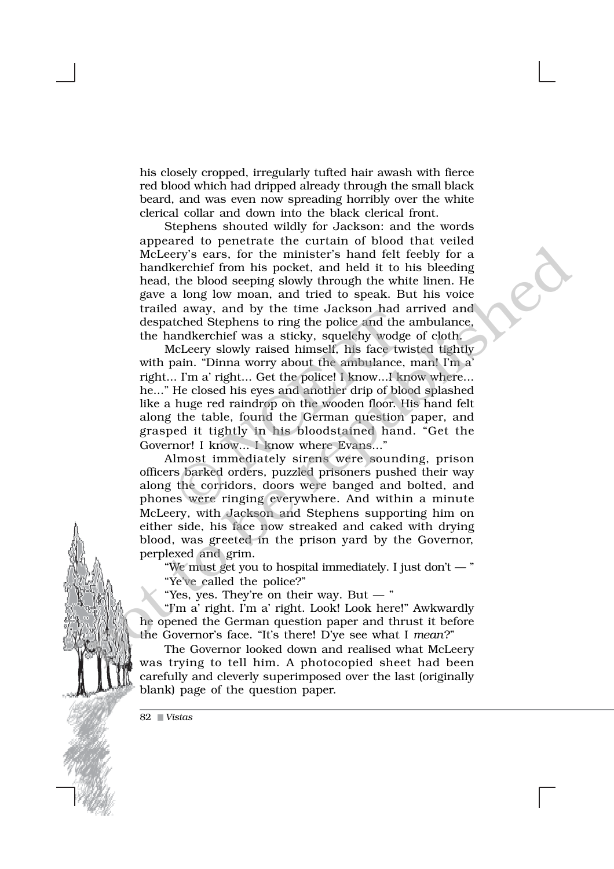his closely cropped, irregularly tufted hair awash with fierce red blood which had dripped already through the small black beard, and was even now spreading horribly over the white clerical collar and down into the black clerical front.

Stephens shouted wildly for Jackson: and the words appeared to penetrate the curtain of blood that veiled McLeery's ears, for the minister's hand felt feebly for a handkerchief from his pocket, and held it to his bleeding head, the blood seeping slowly through the white linen. He gave a long low moan, and tried to speak. But his voice trailed away, and by the time Jackson had arrived and despatched Stephens to ring the police and the ambulance, the handkerchief was a sticky, squelchy wodge of cloth.

McLeery slowly raised himself, his face twisted tightly with pain. "Dinna worry about the ambulance, man! I'm a' right... I'm a' right... Get the police! I know...I know where... he..." He closed his eyes and another drip of blood splashed like a huge red raindrop on the wooden floor. His hand felt along the table, found the German question paper, and grasped it tightly in his bloodstained hand. "Get the Governor! I know... I know where Evans..." d away, and by the time Jackson had<br>tched Stephens to ring the police and the<br>andkerchief was a sticky, squelchy wodg<br>feLeery slowly raised himself, his face tw<br>pain. "Dinna worry about the ambulance,<br>.. I'm a' right... Ge Fig. exercy is ears, for the minister's hand felt feebly for a<br>handkeetheig from his potest, and held it to bits bleeding<br>head, the blood seeping slowly through the white line. He<br>gave a long low moan, and tried to speak.

Almost immediately sirens were sounding, prison officers barked orders, puzzled prisoners pushed their way along the corridors, doors were banged and bolted, and phones were ringing everywhere. And within a minute McLeery, with Jackson and Stephens supporting him on either side, his face now streaked and caked with drying blood, was greeted in the prison yard by the Governor, perplexed and grim.

"We must get you to hospital immediately. I just don't — "

"Ye've called the police?"

"Yes, yes. They're on their way. But  $-$ "

"I'm a' right. I'm a' right. Look! Look here!" Awkwardly he opened the German question paper and thrust it before the Governor's face. "It's there! D'ye see what I *mean*?"

The Governor looked down and realised what McLeery was trying to tell him. A photocopied sheet had been carefully and cleverly superimposed over the last (originally blank) page of the question paper.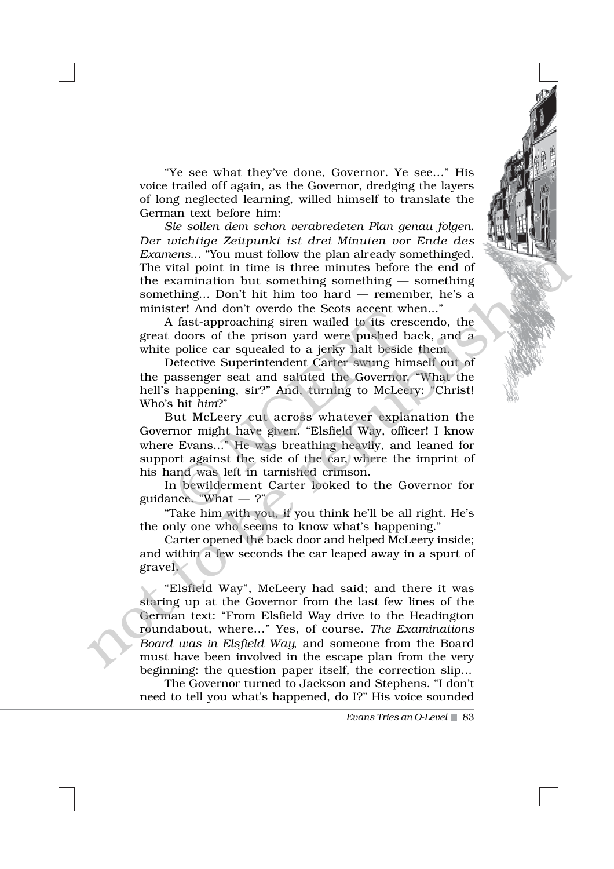"Ye see what they've done, Governor. Ye see..." His voice trailed off again, as the Governor, dredging the layers of long neglected learning, willed himself to translate the German text before him:

*Sie sollen dem schon verabredeten Plan genau folgen. Der wichtige Zeitpunkt ist drei Minuten vor Ende des Examens*... "You must follow the plan already somethinged. The vital point in time is three minutes before the end of the examination but something something — something something... Don't hit him too hard — remember, he's a minister! And don't overdo the Scots accent when..."

A fast-approaching siren wailed to its crescendo, the great doors of the prison yard were pushed back, and a white police car squealed to a jerky halt beside them.

Detective Superintendent Carter swung himself out of the passenger seat and saluted the Governor. "What the hell's happening, sir?" And, turning to McLeery: "Christ! Who's hit *him*?"

But McLeery cut across whatever explanation the Governor might have given. "Elsfield Way, officer! I know where Evans..." He was breathing heavily, and leaned for support against the side of the car, where the imprint of his hand was left in tarnished crimson. ter: And don't overdo the Scots accent w<br>
fast-approaching siren wailed to its cre<br>
doors of the prison yard were pushed l<br>
police car squealed to a jerky halt besid<br>
betective Superintendent Carter swung hi<br>
assenger seat

In bewilderment Carter looked to the Governor for guidance. "What  $-$  ?"

"Take him with you, if you think he'll be all right. He's the only one who seems to know what's happening."

Carter opened the back door and helped McLeery inside; and within a few seconds the car leaped away in a spurt of gravel.

"Elsfield Way", McLeery had said; and there it was staring up at the Governor from the last few lines of the German text: "From Elsfield Way drive to the Headington roundabout, where..." Yes, of course. *The Examinations Board was in Elsfield Way*, and someone from the Board must have been involved in the escape plan from the very beginning: the question paper itself, the correction slip... Examens... You must follow the plan already somethinged.<br>The vital point in time is three minutes before the end of the examination but something something – something<br>the the examination but something something – somethi

> The Governor turned to Jackson and Stephens. "I don't need to tell you what's happened, do I?" His voice sounded

> > *Evans Tries an O-Level*  $\Box$  83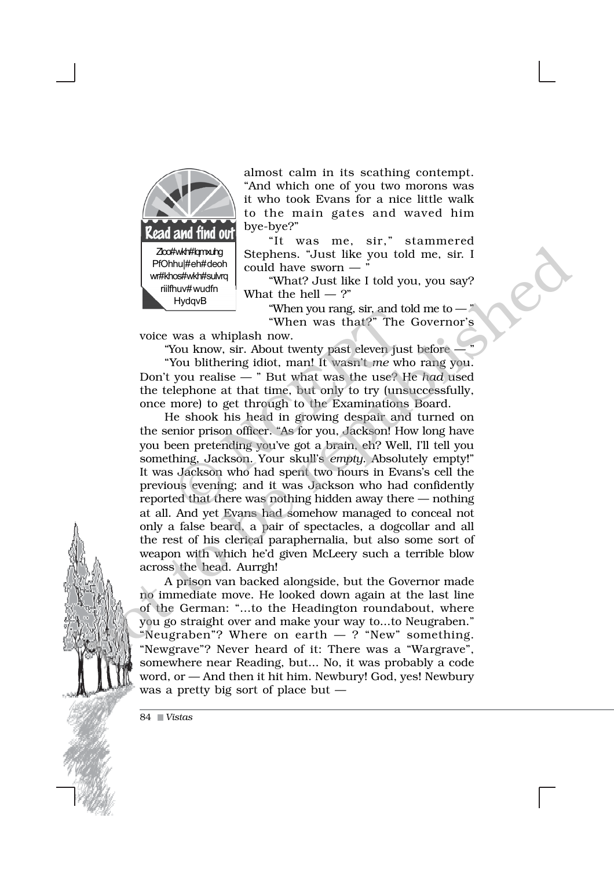

almost calm in its scathing contempt. "And which one of you two morons was it who took Evans for a nice little walk to the main gates and waved him bye-bye?"

"It was me, sir," stammered Stephens. "Just like you told me, sir. I could have sworn — "

"What? Just like I told you, you say? What the hell  $-$  ?"

> "When you rang, sir, and told me to  $-z$ " "When was that?" The Governor's

voice was a whiplash now.

"You know, sir. About twenty past eleven just before

"You blithering idiot, man! It wasn't *me* who rang you. Don't you realise — " But what was the use? He *had* used the telephone at that time, but only to try (unsuccessfully, once more) to get through to the Examinations Board.

He shook his head in growing despair and turned on the senior prison officer. "As for you, Jackson! How long have you been pretending you've got a brain, eh? Well, I'll tell you something, Jackson. Your skull's *empty*. Absolutely empty!" It was Jackson who had spent two hours in Evans's cell the previous evening; and it was Jackson who had confidently reported that there was nothing hidden away there — nothing at all. And yet Evans had somehow managed to conceal not only a false beard, a pair of spectacles, a dogcollar and all the rest of his clerical paraphernalia, but also some sort of weapon with which he'd given McLeery such a terrible blow across the head. Aurrgh! When was that?" The<br>
"When was that?" The<br>
"When was that?" The<br>
You know, sir. About twenty past eleven just<br>
You blithering idiot, man! It wasn't me w!<br>
you realise — " But what was the use? Hephone at that time, but onl **2007**<br> **EXERCACE THE AND TRIGHALL THE COULD TO THANGE SURFACE THE COULD THE COULD THE COULD THE COULD THE COULD THE COULD THE COULD THE COULD THE COULD TRIGHALL THE COULD TRIGHALL THE COULD TRIGHALL THE COULD TRIGHALL TH** 

A prison van backed alongside, but the Governor made no immediate move. He looked down again at the last line of the German: "...to the Headington roundabout, where you go straight over and make your way to...to Neugraben." "Neugraben"? Where on earth  $-$  ? "New" something. "Newgrave"? Never heard of it: There was a "Wargrave", somewhere near Reading, but... No, it was probably a code word, or — And then it hit him. Newbury! God, yes! Newbury was a pretty big sort of place but —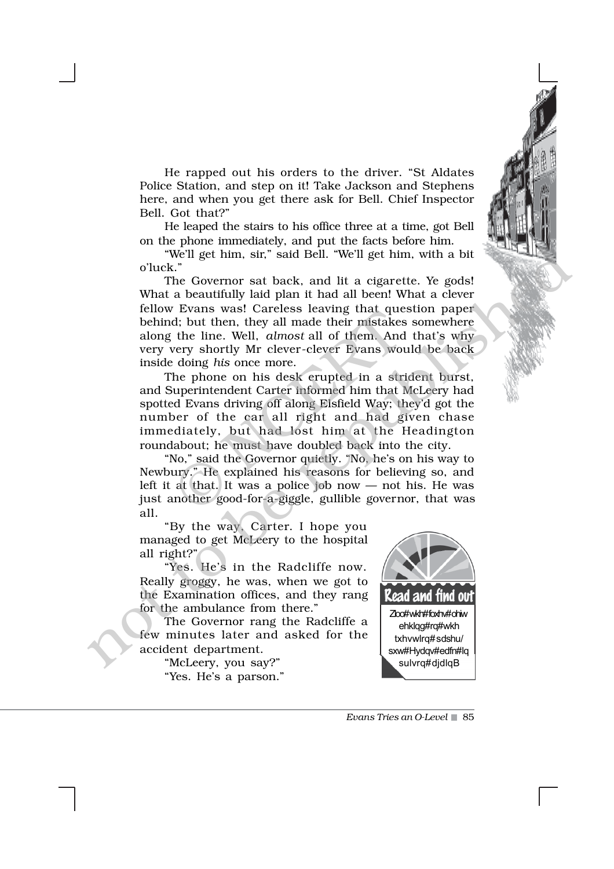He rapped out his orders to the driver. "St Aldates Police Station, and step on it! Take Jackson and Stephens here, and when you get there ask for Bell. Chief Inspector Bell. Got that?"

He leaped the stairs to his office three at a time, got Bell on the phone immediately, and put the facts before him.

"We'll get him, sir," said Bell. "We'll get him, with a bit o'luck."

The Governor sat back, and lit a cigarette. Ye gods! What a beautifully laid plan it had all been! What a clever fellow Evans was! Careless leaving that question paper behind; but then, they all made their mistakes somewhere along the line. Well, *almost* all of them. And that's why very very shortly Mr clever-clever Evans would be back inside doing *his* once more. The content of the and Hiladel and Hilbert Markov and the Boother of the analytical policies. The Governor sat back, and lit a cigarette. Ye gods!<br>
What a cigarette. Ye gods!<br>
What a cigarette. We gods!<br>
What a cigarette

The phone on his desk erupted in a strident burst, and Superintendent Carter informed him that McLeery had spotted Evans driving off along Elsfield Way; they'd got the number of the car all right and had given chase immediately, but had lost him at the Headington roundabout; he must have doubled back into the city. Evans was! Careless leaving that que<br>d; but then, they all made their mistakes<br>the line. Well, *almost* all of them. And<br>very shortly Mr clever-clever Evans wou<br>: doing his once more.<br>he phone on his desk erupted in a stri

"No," said the Governor quietly. "No, he's on his way to Newbury." He explained his reasons for believing so, and left it at that. It was a police job now — not his. He was just another good-for-a-giggle, gullible governor, that was all.

"By the way, Carter. I hope you managed to get McLeery to the hospital all right?"

"Yes. He's in the Radcliffe now. Really groggy, he was, when we got to the Examination offices, and they rang for the ambulance from there."

The Governor rang the Radcliffe a few minutes later and asked for the accident department.

> "McLeery, you say?" "Yes. He's a parson."

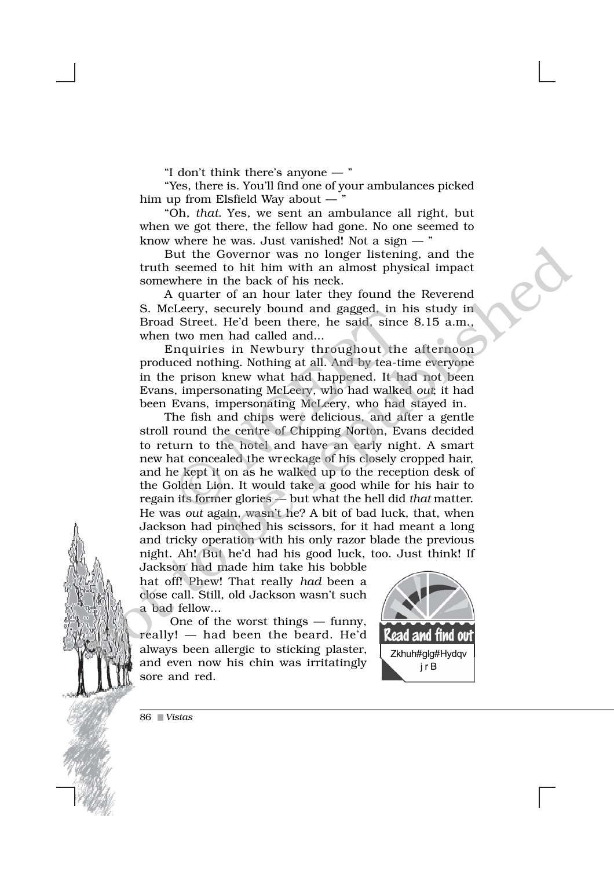"I don't think there's anyone — "

"Yes, there is. You'll find one of your ambulances picked him up from Elsfield Way about — "

"Oh, *that*. Yes, we sent an ambulance all right, but when we got there, the fellow had gone. No one seemed to know where he was. Just vanished! Not a sign  $-$  "

But the Governor was no longer listening, and the truth seemed to hit him with an almost physical impact somewhere in the back of his neck.

A quarter of an hour later they found the Reverend S. McLeery, securely bound and gagged, in his study in Broad Street. He'd been there, he said, since 8.15 a.m., when two men had called and...

Enquiries in Newbury throughout the afternoon produced nothing. Nothing at all. And by tea-time everyone in the prison knew what had happened. It had not been Evans, impersonating McLeery, who had walked *out*; it had been Evans, impersonating McLeery, who had stayed in.

The fish and chips were delicious, and after a gentle stroll round the centre of Chipping Norton, Evans decided to return to the hotel and have an early night. A smart new hat concealed the wreckage of his closely cropped hair, and he kept it on as he walked up to the reception desk of the Golden Lion. It would take a good while for his hair to regain its former glories — but what the hell did *that* matter. He was *out* again, wasn't he? A bit of bad luck, that, when Jackson had pinched his scissors, for it had meant a long and tricky operation with his only razor blade the previous night. Ah! But he'd had his good luck, too. Just think! If Eleery, securely bound and gagged, in I<br>I Street. He'd been there, he said, since<br>two men had called and...<br>'nquiries in Newbury throughout the<br>ced nothing. Nothing at all. And by tea-ti-<br>Prison knew what had happened. It But the Governor was no longer listening, and the<br>truth seemed to hit him with an almost physical impact<br>somewhere in the back of his neck.<br>A quarter of an hour later they found the Reverend<br>S. McLeery, securely bound and

Jackson had made him take his bobble hat off! Phew! That really *had* been a close call. Still, old Jackson wasn't such a bad fellow...

 One of the worst things — funny, really! — had been the beard. He'd always been allergic to sticking plaster, and even now his chin was irritatingly sore and red.

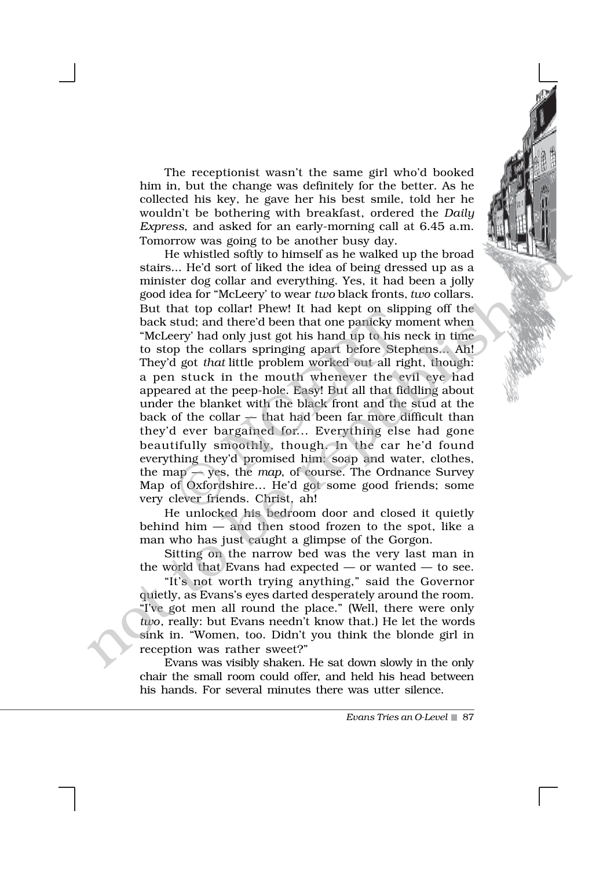The receptionist wasn't the same girl who'd booked him in, but the change was definitely for the better. As he collected his key, he gave her his best smile, told her he wouldn't be bothering with breakfast, ordered the *Daily Express*, and asked for an early-morning call at 6.45 a.m. Tomorrow was going to be another busy day.

He whistled softly to himself as he walked up the broad stairs... He'd sort of liked the idea of being dressed up as a minister dog collar and everything. Yes, it had been a jolly good idea for "McLeery' to wear *two* black fronts, *two* collars. But that top collar! Phew! It had kept on slipping off the back stud; and there'd been that one panicky moment when "McLeery' had only just got his hand up to his neck in time to stop the collars springing apart before Stephens... Ah! They'd got *that* little problem worked out all right, though: a pen stuck in the mouth whenever the evil eye had appeared at the peep-hole. Easy! But all that fiddling about under the blanket with the black front and the stud at the back of the collar — that had been far more difficult than they'd ever bargained for... Everything else had gone beautifully smoothly, though. In the car he'd found everything they'd promised him: soap and water, clothes, the map — yes, the *map*, of course. The Ordnance Survey Map of Oxfordshire... He'd got some good friends; some very clever friends. Christ, ah! mat top collar! Pnew! It had kept on supstud; and there'd been that one panicky m<br>eery' had only just got his hand up to his is<br>p the collars springing apart before Stee<br>If got *that* little problem worked out all ria<br>in s He whistled softly to himself as he walked up the broad stats... He do at of liked the idea of being dressed up as a minister dog collar and everything. Yes, it had been a jolly good idea for "McLeavy to wear *tuo* black

He unlocked his bedroom door and closed it quietly behind him  $-$  and then stood frozen to the spot, like a man who has just caught a glimpse of the Gorgon.

Sitting on the narrow bed was the very last man in the world that Evans had expected — or wanted — to see.

"It's not worth trying anything," said the Governor quietly, as Evans's eyes darted desperately around the room. "I've got men all round the place." (Well, there were only *two*, really: but Evans needn't know that.) He let the words sink in. "Women, too. Didn't you think the blonde girl in reception was rather sweet?"

Evans was visibly shaken. He sat down slowly in the only chair the small room could offer, and held his head between his hands. For several minutes there was utter silence.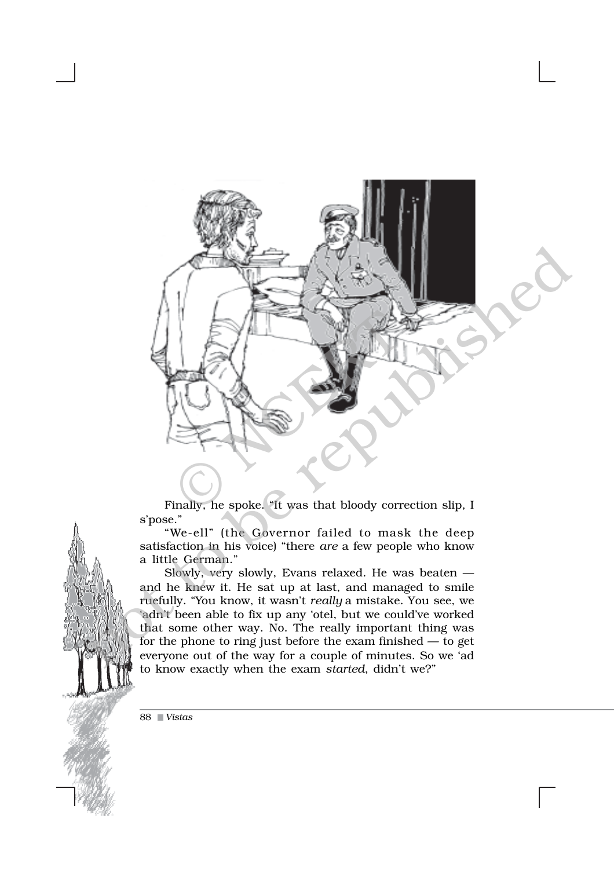

Finally, he spoke. "It was that bloody correction slip, I s'pose."

"We-ell" (the Governor failed to mask the deep satisfaction in his voice) "there *are* a few people who know a little German."

Slowly, very slowly, Evans relaxed. He was beaten and he knew it. He sat up at last, and managed to smile ruefully. "You know, it wasn't *really* a mistake. You see, we 'adn't been able to fix up any 'otel, but we could've worked that some other way. No. The really important thing was for the phone to ring just before the exam finished — to get everyone out of the way for a couple of minutes. So we 'ad to know exactly when the exam *started*, didn't we?"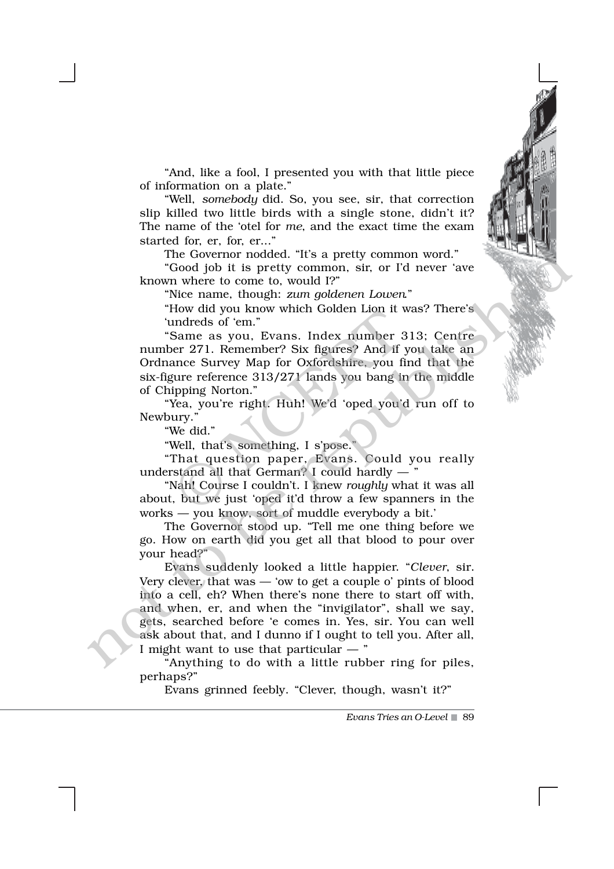"And, like a fool, I presented you with that little piece of information on a plate."

"Well, *somebody* did. So, you see, sir, that correction slip killed two little birds with a single stone, didn't it? The name of the 'otel for *me*, and the exact time the exam started for, er, for, er..."

The Governor nodded. "It's a pretty common word."

"Good job it is pretty common, sir, or I'd never 'ave known where to come to, would I?"

"Nice name, though: *zum goldenen Lowen*."

"How did you know which Golden Lion it was? There's 'undreds of 'em."

"Same as you, Evans. Index number 313; Centre number 271. Remember? Six figures? And if you take an Ordnance Survey Map for Oxfordshire, you find that the six-figure reference 313/271 lands you bang in the middle of Chipping Norton." How did you know which Golden Lion it v<br>
indreds of 'em."<br>
Same as you, Evans. Index number 3<br>
er 271. Remember? Six figures? And if yance Survey Map for Oxfordshire, you fi<br>
sigure reference 313/271 lands you bang ir<br>
ipp

"Yea, you're right. Huh! We'd 'oped you'd run off to Newbury."

"We did."

"Well, that's something, I s'pose."

"That question paper, Evans. Could you really understand all that German? I could hardly — "

"Nah! Course I couldn't. I knew *roughly* what it was all about, but we just 'oped it'd throw a few spanners in the works — you know, sort of muddle everybody a bit.'

The Governor stood up. "Tell me one thing before we go. How on earth did you get all that blood to pour over your head?"

Evans suddenly looked a little happier. "*Clever*, sir. Very clever, that was — 'ow to get a couple o' pints of blood into a cell, eh? When there's none there to start off with, and when, er, and when the "invigilator", shall we say, gets, searched before 'e comes in. Yes, sir. You can well ask about that, and I dunno if I ought to tell you. After all, I might want to use that particular  $-$  " The Governor nodded. "It's a pretty common word."<br>
Tood job it is pretty common, sir, or I'd never 'are<br>
Norwan where to come to, would P?<br>
"Nore name, though: zum goldzen Louen."<br>
"How did you know which Golden Lon it wa

"Anything to do with a little rubber ring for piles, perhaps?"

Evans grinned feebly. "Clever, though, wasn't it?"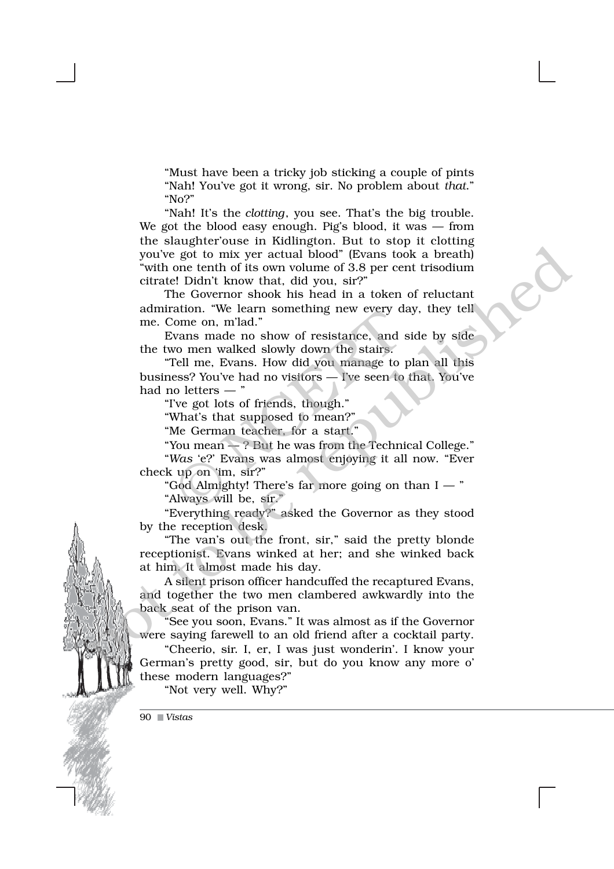"Must have been a tricky job sticking a couple of pints "Nah! You've got it wrong, sir. No problem about *that*." "No?"

"Nah! It's the *clotting*, you see. That's the big trouble. We got the blood easy enough. Pig's blood, it was  $-$  from the slaughter'ouse in Kidlington. But to stop it clotting you've got to mix yer actual blood" (Evans took a breath) "with one tenth of its own volume of 3.8 per cent trisodium citrate! Didn't know that, did you, sir?" you've got to mix yer actual blood" (Evans took a breath)<br>
"with one tenth of its own volume of 3.8 per cent trisodhum<br>
citrate! Didn't know than, did you, sir?"<br>
The Governo shoot his head in a token of reluctant<br>
admira

The Governor shook his head in a token of reluctant admiration. "We learn something new every day, they tell me. Come on, m'lad."

Evans made no show of resistance, and side by side the two men walked slowly down the stairs.

"Tell me, Evans. How did you manage to plan all this business? You've had no visitors — I've seen to that. You've had no letters — " ation. We learn something new every dome on, m'lad."<br>
Wans made no show of resistance, and two men walked slowly down the stairs.<br>
Fell me, Evans. How did you manage to ess? You've had no visitors — I've seen to<br>
colletter

"I've got lots of friends, though."

"What's that supposed to mean?"

"Me German teacher, for a start."

"You mean — ? But he was from the Technical College."

"*Was* 'e?' Evans was almost enjoying it all now. "Ever check up on 'im, sir?"

"God Almighty! There's far more going on than  $I -$ " "Always will be, sir."

"Everything ready?" asked the Governor as they stood by the reception desk.

"The van's out the front, sir," said the pretty blonde receptionist. Evans winked at her; and she winked back at him. It almost made his day.

A silent prison officer handcuffed the recaptured Evans, and together the two men clambered awkwardly into the back seat of the prison van.

"See you soon, Evans." It was almost as if the Governor were saying farewell to an old friend after a cocktail party.

"Cheerio, sir. I, er, I was just wonderin'. I know your German's pretty good, sir, but do you know any more o' these modern languages?"

"Not very well. Why?"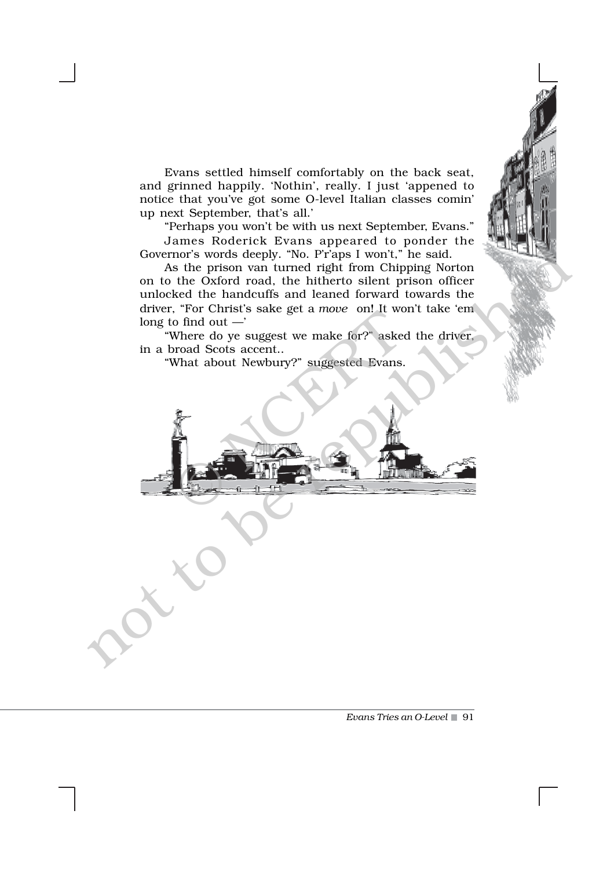Evans settled himself comfortably on the back seat, and grinned happily. 'Nothin', really. I just 'appened to notice that you've got some O-level Italian classes comin' up next September, that's all.'

"Perhaps you won't be with us next September, Evans." James Roderick Evans appeared to ponder the Governor's words deeply. "No. P'r'aps I won't," he said.

As the prison van turned right from Chipping Norton on to the Oxford road, the hitherto silent prison officer unlocked the handcuffs and leaned forward towards the driver, "For Christ's sake get a *move* on! It won't take 'em long to find out  $-$ 

"Where do ye suggest we make for?" asked the driver, in a broad Scots accent..

"What about Newbury?" suggested Evans.